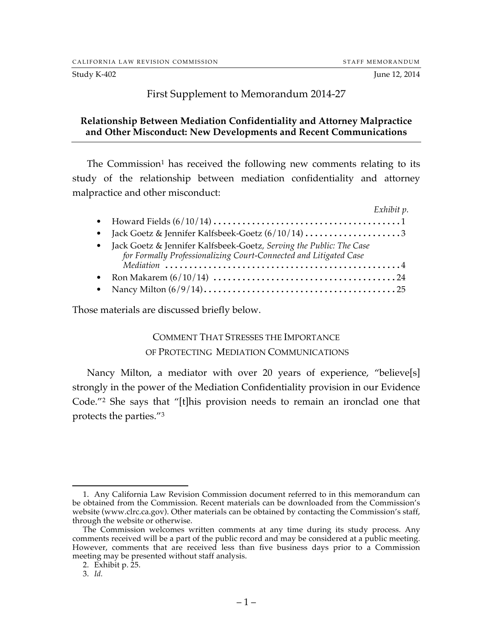#### Study K-402 June 12, 2014

## First Supplement to Memorandum 2014-27

## **Relationship Between Mediation Confidentiality and Attorney Malpractice and Other Misconduct: New Developments and Recent Communications**

The Commission<sup>1</sup> has received the following new comments relating to its study of the relationship between mediation confidentiality and attorney malpractice and other misconduct:

| Exhibit p.                                                                                                                                 |
|--------------------------------------------------------------------------------------------------------------------------------------------|
|                                                                                                                                            |
|                                                                                                                                            |
| • Jack Goetz & Jennifer Kalfsbeek-Goetz, Serving the Public: The Case<br>for Formally Professionalizing Court-Connected and Litigated Case |
|                                                                                                                                            |
|                                                                                                                                            |
|                                                                                                                                            |

Those materials are discussed briefly below.

#### COMMENT THAT STRESSES THE IMPORTANCE

#### OF PROTECTING MEDIATION COMMUNICATIONS

Nancy Milton, a mediator with over 20 years of experience, "believe[s] strongly in the power of the Mediation Confidentiality provision in our Evidence Code."2 She says that "[t]his provision needs to remain an ironclad one that protects the parties."3

 <sup>1.</sup> Any California Law Revision Commission document referred to in this memorandum can be obtained from the Commission. Recent materials can be downloaded from the Commission's website (www.clrc.ca.gov). Other materials can be obtained by contacting the Commission's staff, through the website or otherwise.

The Commission welcomes written comments at any time during its study process. Any comments received will be a part of the public record and may be considered at a public meeting. However, comments that are received less than five business days prior to a Commission meeting may be presented without staff analysis.

<sup>2.</sup> Exhibit p. 25.

<sup>3.</sup> *Id.*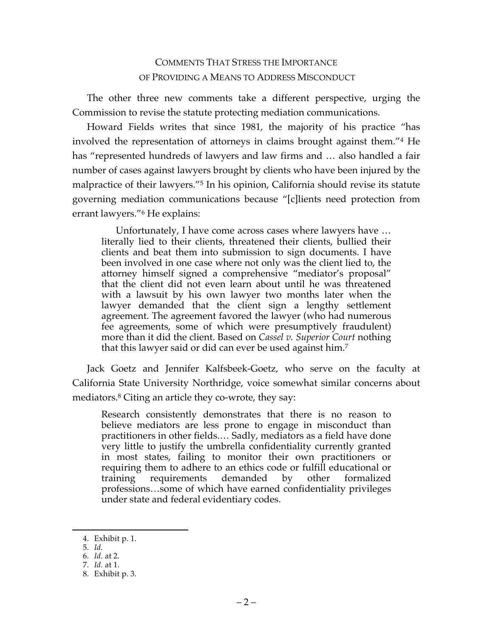# COMMENTS THAT STRESS THE IMPORTANCE OF PROVIDING A MEANS TO ADDRESS MISCONDUCT

The other three new comments take a different perspective, urging the Commission to revise the statute protecting mediation communications.

Howard Fields writes that since 1981, the majority of his practice "has involved the representation of attorneys in claims brought against them."4 He has "represented hundreds of lawyers and law firms and … also handled a fair number of cases against lawyers brought by clients who have been injured by the malpractice of their lawyers."<sup>5</sup> In his opinion, California should revise its statute governing mediation communications because "[c]lients need protection from errant lawyers."6 He explains:

Unfortunately, I have come across cases where lawyers have … literally lied to their clients, threatened their clients, bullied their clients and beat them into submission to sign documents. I have been involved in one case where not only was the client lied to, the attorney himself signed a comprehensive "mediator's proposal" that the client did not even learn about until he was threatened with a lawsuit by his own lawyer two months later when the lawyer demanded that the client sign a lengthy settlement agreement. The agreement favored the lawyer (who had numerous fee agreements, some of which were presumptively fraudulent) more than it did the client. Based on *Cassel v. Superior Court* nothing that this lawyer said or did can ever be used against him.7

Jack Goetz and Jennifer Kalfsbeek-Goetz, who serve on the faculty at California State University Northridge, voice somewhat similar concerns about mediators.<sup>8</sup> Citing an article they co-wrote, they say:

Research consistently demonstrates that there is no reason to believe mediators are less prone to engage in misconduct than practitioners in other fields.… Sadly, mediators as a field have done very little to justify the umbrella confidentiality currently granted in most states, failing to monitor their own practitioners or requiring them to adhere to an ethics code or fulfill educational or training requirements demanded by other formalized professions…some of which have earned confidentiality privileges under state and federal evidentiary codes.

 <sup>4.</sup> Exhibit p. 1.

<sup>5.</sup> *Id.*

<sup>6.</sup> *Id.* at 2.

<sup>7.</sup> *Id.* at 1.

<sup>8.</sup> Exhibit p. 3.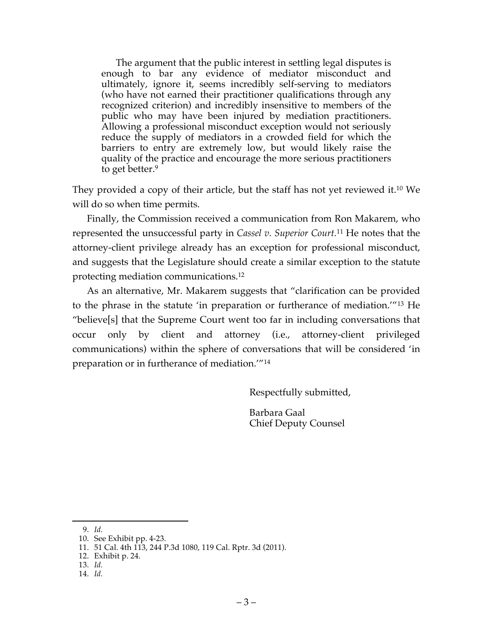The argument that the public interest in settling legal disputes is enough to bar any evidence of mediator misconduct and ultimately, ignore it, seems incredibly self-serving to mediators (who have not earned their practitioner qualifications through any recognized criterion) and incredibly insensitive to members of the public who may have been injured by mediation practitioners. Allowing a professional misconduct exception would not seriously reduce the supply of mediators in a crowded field for which the barriers to entry are extremely low, but would likely raise the quality of the practice and encourage the more serious practitioners to get better.9

They provided a copy of their article, but the staff has not yet reviewed it. <sup>10</sup> We will do so when time permits.

Finally, the Commission received a communication from Ron Makarem, who represented the unsuccessful party in *Cassel v. Superior Court.*<sup>11</sup> He notes that the attorney-client privilege already has an exception for professional misconduct, and suggests that the Legislature should create a similar exception to the statute protecting mediation communications. 12

As an alternative, Mr. Makarem suggests that "clarification can be provided to the phrase in the statute 'in preparation or furtherance of mediation.'"13 He "believe[s] that the Supreme Court went too far in including conversations that occur only by client and attorney (i.e., attorney-client privileged communications) within the sphere of conversations that will be considered 'in preparation or in furtherance of mediation.'"14

Respectfully submitted,

Barbara Gaal Chief Deputy Counsel

14. *Id.*

 <sup>9.</sup> *Id.*

<sup>10.</sup> See Exhibit pp. 4-23.

<sup>11.</sup> 51 Cal. 4th 113, 244 P.3d 1080, 119 Cal. Rptr. 3d (2011).

<sup>12.</sup> Exhibit p. 24.

<sup>13.</sup> *Id.*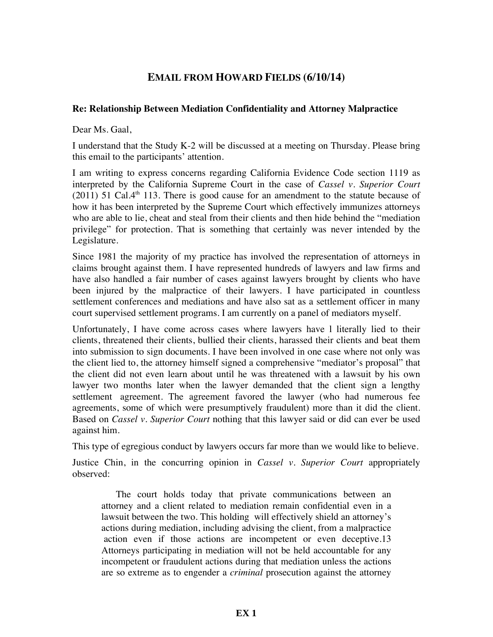# **EMAIL FROM HOWARD FIELDS (6/10/14)**

### **Re: Relationship Between Mediation Confidentiality and Attorney Malpractice**

Dear Ms. Gaal,

I understand that the Study K-2 will be discussed at a meeting on Thursday. Please bring this email to the participants' attention.

I am writing to express concerns regarding California Evidence Code section 1119 as interpreted by the California Supreme Court in the case of *Cassel v. Superior Court*  $(2011)$  51 Cal.4<sup>th</sup> 113. There is good cause for an amendment to the statute because of how it has been interpreted by the Supreme Court which effectively immunizes attorneys who are able to lie, cheat and steal from their clients and then hide behind the "mediation privilege" for protection. That is something that certainly was never intended by the Legislature.

Since 1981 the majority of my practice has involved the representation of attorneys in claims brought against them. I have represented hundreds of lawyers and law firms and have also handled a fair number of cases against lawyers brought by clients who have been injured by the malpractice of their lawyers. I have participated in countless settlement conferences and mediations and have also sat as a settlement officer in many court supervised settlement programs. I am currently on a panel of mediators myself.

Unfortunately, I have come across cases where lawyers have l literally lied to their clients, threatened their clients, bullied their clients, harassed their clients and beat them into submission to sign documents. I have been involved in one case where not only was the client lied to, the attorney himself signed a comprehensive "mediator's proposal" that the client did not even learn about until he was threatened with a lawsuit by his own lawyer two months later when the lawyer demanded that the client sign a lengthy settlement agreement. The agreement favored the lawyer (who had numerous fee agreements, some of which were presumptively fraudulent) more than it did the client. Based on *Cassel v. Superior Court* nothing that this lawyer said or did can ever be used against him.

This type of egregious conduct by lawyers occurs far more than we would like to believe.

Justice Chin, in the concurring opinion in *Cassel v. Superior Court* appropriately observed:

The court holds today that private communications between an attorney and a client related to mediation remain confidential even in a lawsuit between the two. This holding will effectively shield an attorney's actions during mediation, including advising the client, from a malpractice action even if those actions are incompetent or even deceptive.13 Attorneys participating in mediation will not be held accountable for any incompetent or fraudulent actions during that mediation unless the actions are so extreme as to engender a *criminal* prosecution against the attorney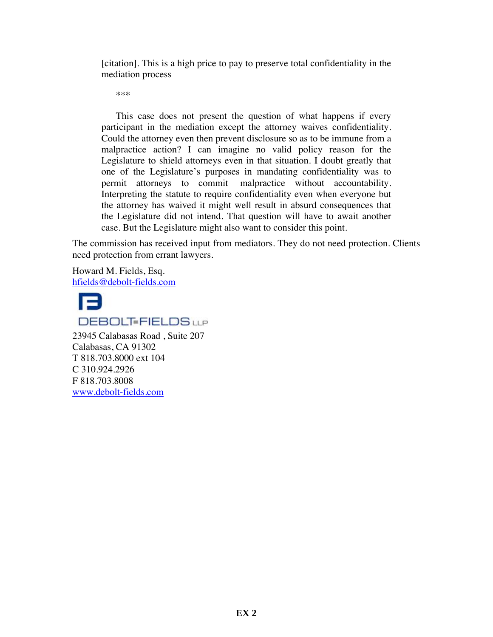[citation]. This is a high price to pay to preserve total confidentiality in the mediation process

\*\*\*

This case does not present the question of what happens if every participant in the mediation except the attorney waives confidentiality. Could the attorney even then prevent disclosure so as to be immune from a malpractice action? I can imagine no valid policy reason for the Legislature to shield attorneys even in that situation. I doubt greatly that one of the Legislature's purposes in mandating confidentiality was to permit attorneys to commit malpractice without accountability. Interpreting the statute to require confidentiality even when everyone but the attorney has waived it might well result in absurd consequences that the Legislature did not intend. That question will have to await another case. But the Legislature might also want to consider this point.

The commission has received input from mediators. They do not need protection. Clients need protection from errant lawyers.

Howard M. Fields, Esq. hfields@debolt-fields.com



# **DEBOLT-FIELDS**LLP

23945 Calabasas Road , Suite 207 Calabasas, CA 91302 T 818.703.8000 ext 104 C 310.924.2926 F 818.703.8008 www.debolt-fields.com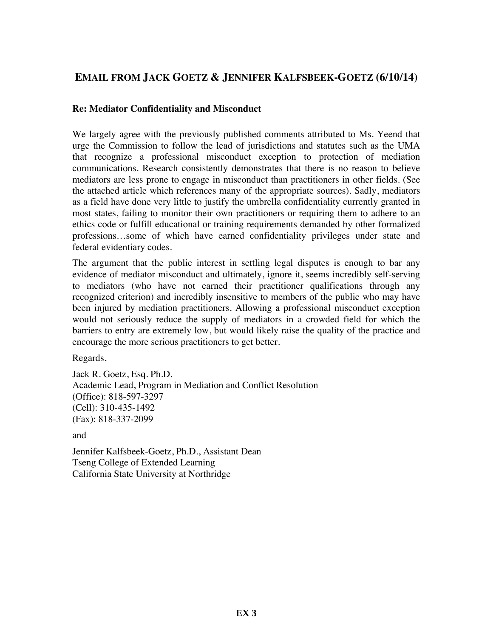# **EMAIL FROM JACK GOETZ & JENNIFER KALFSBEEK-GOETZ (6/10/14)**

#### **Re: Mediator Confidentiality and Misconduct**

We largely agree with the previously published comments attributed to Ms. Yeend that urge the Commission to follow the lead of jurisdictions and statutes such as the UMA that recognize a professional misconduct exception to protection of mediation communications. Research consistently demonstrates that there is no reason to believe mediators are less prone to engage in misconduct than practitioners in other fields. (See the attached article which references many of the appropriate sources). Sadly, mediators as a field have done very little to justify the umbrella confidentiality currently granted in most states, failing to monitor their own practitioners or requiring them to adhere to an ethics code or fulfill educational or training requirements demanded by other formalized professions…some of which have earned confidentiality privileges under state and federal evidentiary codes.

The argument that the public interest in settling legal disputes is enough to bar any evidence of mediator misconduct and ultimately, ignore it, seems incredibly self-serving to mediators (who have not earned their practitioner qualifications through any recognized criterion) and incredibly insensitive to members of the public who may have been injured by mediation practitioners. Allowing a professional misconduct exception would not seriously reduce the supply of mediators in a crowded field for which the barriers to entry are extremely low, but would likely raise the quality of the practice and encourage the more serious practitioners to get better.

Regards,

Jack R. Goetz, Esq. Ph.D. Academic Lead, Program in Mediation and Conflict Resolution (Office): 818-597-3297 (Cell): 310-435-1492 (Fax): 818-337-2099

and

Jennifer Kalfsbeek-Goetz, Ph.D., Assistant Dean Tseng College of Extended Learning California State University at Northridge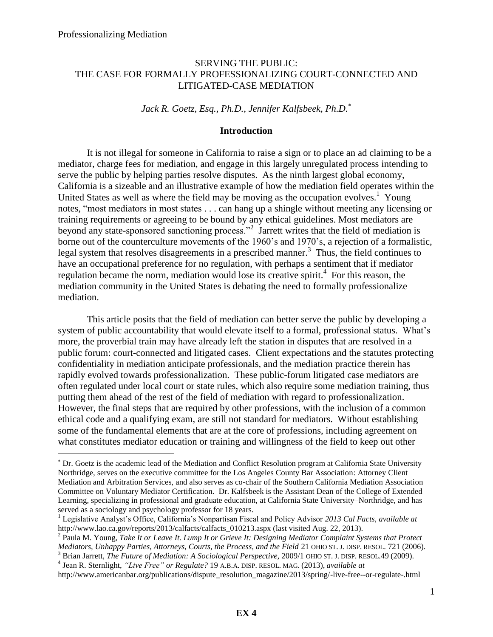$\overline{a}$ 

### SERVING THE PUBLIC: THE CASE FOR FORMALLY PROFESSIONALIZING COURT-CONNECTED AND LITIGATED-CASE MEDIATION

*Jack R. Goetz, Esq., Ph.D., Jennifer Kalfsbeek, Ph.D.*

#### **Introduction**

It is not illegal for someone in California to raise a sign or to place an ad claiming to be a mediator, charge fees for mediation, and engage in this largely unregulated process intending to serve the public by helping parties resolve disputes. As the ninth largest global economy, California is a sizeable and an illustrative example of how the mediation field operates within the United States as well as where the field may be moving as the occupation evolves.<sup>1</sup> Young notes, "most mediators in most states . . . can hang up a shingle without meeting any licensing or training requirements or agreeing to be bound by any ethical guidelines. Most mediators are beyond any state-sponsored sanctioning process."<sup>2</sup> Jarrett writes that the field of mediation is borne out of the counterculture movements of the 1960's and 1970's, a rejection of a formalistic, legal system that resolves disagreements in a prescribed manner.<sup>3</sup> Thus, the field continues to have an occupational preference for no regulation, with perhaps a sentiment that if mediator regulation became the norm, mediation would lose its creative spirit.<sup>4</sup> For this reason, the mediation community in the United States is debating the need to formally professionalize mediation.

This article posits that the field of mediation can better serve the public by developing a system of public accountability that would elevate itself to a formal, professional status. What's more, the proverbial train may have already left the station in disputes that are resolved in a public forum: court-connected and litigated cases. Client expectations and the statutes protecting confidentiality in mediation anticipate professionals, and the mediation practice therein has rapidly evolved towards professionalization. These public-forum litigated case mediators are often regulated under local court or state rules, which also require some mediation training, thus putting them ahead of the rest of the field of mediation with regard to professionalization. However, the final steps that are required by other professions, with the inclusion of a common ethical code and a qualifying exam, are still not standard for mediators. Without establishing some of the fundamental elements that are at the core of professions, including agreement on what constitutes mediator education or training and willingness of the field to keep out other

 Dr. Goetz is the academic lead of the Mediation and Conflict Resolution program at California State University– Northridge, serves on the executive committee for the Los Angeles County Bar Association: Attorney Client Mediation and Arbitration Services, and also serves as co-chair of the Southern California Mediation Association Committee on Voluntary Mediator Certification. Dr. Kalfsbeek is the Assistant Dean of the College of Extended Learning, specializing in professional and graduate education, at California State University–Northridge, and has served as a sociology and psychology professor for 18 years.

<sup>1</sup> Legislative Analyst's Office, California's Nonpartisan Fiscal and Policy Advisor *2013 Cal Facts, available at* http://www.lao.ca.gov/reports/2013/calfacts/calfacts 010213.aspx (last visited Aug. 22, 2013).

<sup>&</sup>lt;sup>2</sup> Paula M. Young, *Take It or Leave It. Lump It or Grieve It: Designing Mediator Complaint Systems that Protect Mediators, Unhappy Parties, Attorneys, Courts, the Process, and the Field* 21 OHIO ST. J. DISP. RESOL. 721 (2006).

<sup>3</sup> Brian Jarrett, *The Future of Mediation: A Sociological Perspective*, 2009/1 OHIO ST. J. DISP. RESOL.49 (2009). 4 Jean R. Sternlight, *"Live Free" or Regulate?* 19 A.B.A. DISP. RESOL. MAG. (2013), *available at*

http://www.americanbar.org/publications/dispute\_resolution\_magazine/2013/spring/-live-free--or-regulate-.html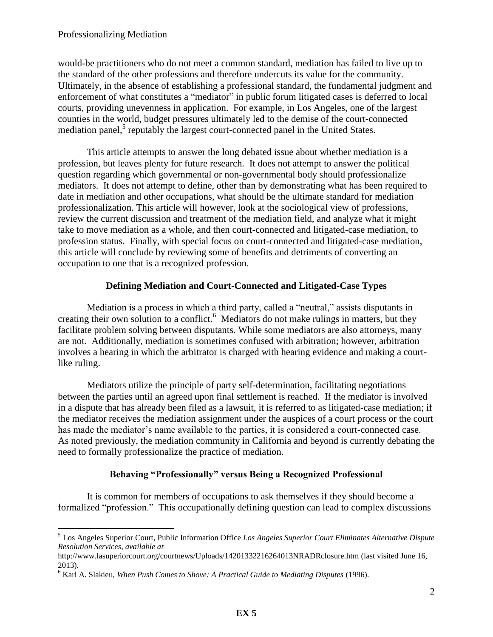would-be practitioners who do not meet a common standard, mediation has failed to live up to the standard of the other professions and therefore undercuts its value for the community. Ultimately, in the absence of establishing a professional standard, the fundamental judgment and enforcement of what constitutes a "mediator" in public forum litigated cases is deferred to local courts, providing unevenness in application. For example, in Los Angeles, one of the largest counties in the world, budget pressures ultimately led to the demise of the court-connected mediation panel,<sup>5</sup> reputably the largest court-connected panel in the United States.

This article attempts to answer the long debated issue about whether mediation is a profession, but leaves plenty for future research. It does not attempt to answer the political question regarding which governmental or non-governmental body should professionalize mediators. It does not attempt to define, other than by demonstrating what has been required to date in mediation and other occupations, what should be the ultimate standard for mediation professionalization. This article will however, look at the sociological view of professions, review the current discussion and treatment of the mediation field, and analyze what it might take to move mediation as a whole, and then court-connected and litigated-case mediation, to profession status. Finally, with special focus on court-connected and litigated-case mediation, this article will conclude by reviewing some of benefits and detriments of converting an occupation to one that is a recognized profession.

## **Defining Mediation and Court-Connected and Litigated-Case Types**

Mediation is a process in which a third party, called a "neutral," assists disputants in creating their own solution to a conflict.<sup>6</sup> Mediators do not make rulings in matters, but they facilitate problem solving between disputants. While some mediators are also attorneys, many are not. Additionally, mediation is sometimes confused with arbitration; however, arbitration involves a hearing in which the arbitrator is charged with hearing evidence and making a courtlike ruling.

Mediators utilize the principle of party self-determination, facilitating negotiations between the parties until an agreed upon final settlement is reached. If the mediator is involved in a dispute that has already been filed as a lawsuit, it is referred to as litigated-case mediation; if the mediator receives the mediation assignment under the auspices of a court process or the court has made the mediator's name available to the parties, it is considered a court-connected case. As noted previously, the mediation community in California and beyond is currently debating the need to formally professionalize the practice of mediation.

# **Behaving "Professionally" versus Being a Recognized Professional**

 It is common for members of occupations to ask themselves if they should become a formalized "profession." This occupationally defining question can lead to complex discussions

 $\overline{a}$ <sup>5</sup> Los Angeles Superior Court, Public Information Office *Los Angeles Superior Court Eliminates Alternative Dispute Resolution Services*, *available at*

http://www.lasuperiorcourt.org/courtnews/Uploads/14201332216264013NRADRclosure.htm (last visited June 16, 2013).

<sup>&</sup>lt;sup>6</sup> Karl A. Slakieu, *When Push Comes to Shove: A Practical Guide to Mediating Disputes* (1996).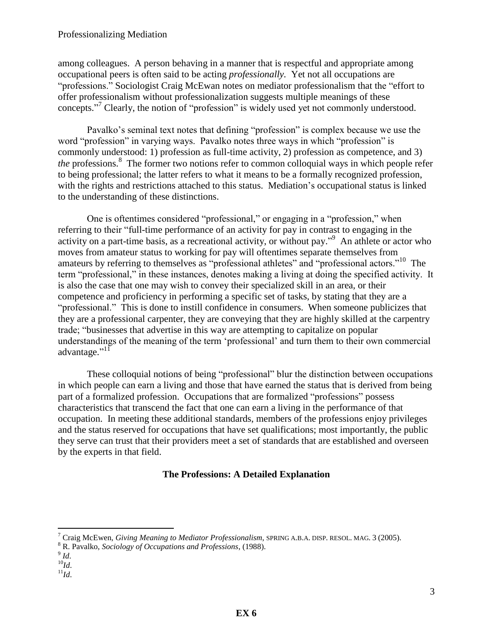among colleagues. A person behaving in a manner that is respectful and appropriate among occupational peers is often said to be acting *professionally.* Yet not all occupations are "professions." Sociologist Craig McEwan notes on mediator professionalism that the "effort to offer professionalism without professionalization suggests multiple meanings of these concepts." <sup>7</sup> Clearly, the notion of "profession" is widely used yet not commonly understood.

Pavalko's seminal text notes that defining "profession" is complex because we use the word "profession" in varying ways. Pavalko notes three ways in which "profession" is commonly understood: 1) profession as full-time activity, 2) profession as competence, and 3) the professions.<sup>8</sup> The former two notions refer to common colloquial ways in which people refer to being professional; the latter refers to what it means to be a formally recognized profession, with the rights and restrictions attached to this status. Mediation's occupational status is linked to the understanding of these distinctions.

One is oftentimes considered "professional," or engaging in a "profession," when referring to their "full-time performance of an activity for pay in contrast to engaging in the activity on a part-time basis, as a recreational activity, or without pay."<sup>9</sup> An athlete or actor who moves from amateur status to working for pay will oftentimes separate themselves from amateurs by referring to themselves as "professional athletes" and "professional actors."<sup>10</sup> The term "professional," in these instances, denotes making a living at doing the specified activity. It is also the case that one may wish to convey their specialized skill in an area, or their competence and proficiency in performing a specific set of tasks, by stating that they are a "professional." This is done to instill confidence in consumers. When someone publicizes that they are a professional carpenter, they are conveying that they are highly skilled at the carpentry trade; "businesses that advertise in this way are attempting to capitalize on popular understandings of the meaning of the term 'professional' and turn them to their own commercial advantage."<sup>11</sup>

 These colloquial notions of being "professional" blur the distinction between occupations in which people can earn a living and those that have earned the status that is derived from being part of a formalized profession. Occupations that are formalized "professions" possess characteristics that transcend the fact that one can earn a living in the performance of that occupation. In meeting these additional standards, members of the professions enjoy privileges and the status reserved for occupations that have set qualifications; most importantly, the public they serve can trust that their providers meet a set of standards that are established and overseen by the experts in that field.

# **The Professions: A Detailed Explanation**

- <sup>10</sup>*Id*.
- $11$ *Id*.

<sup>7</sup> Craig McEwen, *Giving Meaning to Mediator Professionalism*, SPRING A.B.A. DISP. RESOL. MAG. 3 (2005).

<sup>8</sup> R. Pavalko, *Sociology of Occupations and Professions*, (1988).

<sup>9</sup> *Id*.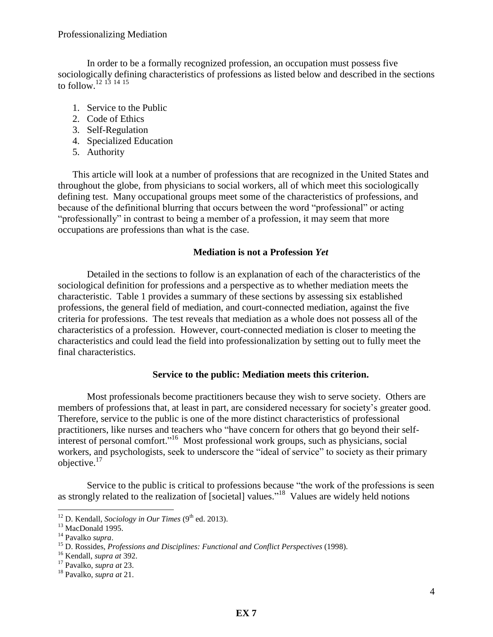In order to be a formally recognized profession, an occupation must possess five sociologically defining characteristics of professions as listed below and described in the sections to follow.<sup>12 13</sup> <sup>14</sup> 15

- 1. Service to the Public
- 2. Code of Ethics
- 3. Self-Regulation
- 4. Specialized Education
- 5. Authority

This article will look at a number of professions that are recognized in the United States and throughout the globe, from physicians to social workers, all of which meet this sociologically defining test. Many occupational groups meet some of the characteristics of professions, and because of the definitional blurring that occurs between the word "professional" or acting "professionally" in contrast to being a member of a profession, it may seem that more occupations are professions than what is the case.

## **Mediation is not a Profession** *Yet*

Detailed in the sections to follow is an explanation of each of the characteristics of the sociological definition for professions and a perspective as to whether mediation meets the characteristic. Table 1 provides a summary of these sections by assessing six established professions, the general field of mediation, and court-connected mediation, against the five criteria for professions. The test reveals that mediation as a whole does not possess all of the characteristics of a profession. However, court-connected mediation is closer to meeting the characteristics and could lead the field into professionalization by setting out to fully meet the final characteristics.

## **Service to the public: Mediation meets this criterion.**

Most professionals become practitioners because they wish to serve society. Others are members of professions that, at least in part, are considered necessary for society's greater good. Therefore, service to the public is one of the more distinct characteristics of professional practitioners, like nurses and teachers who "have concern for others that go beyond their selfinterest of personal comfort."<sup>16</sup> Most professional work groups, such as physicians, social workers, and psychologists, seek to underscore the "ideal of service" to society as their primary objective.<sup>17</sup>

Service to the public is critical to professions because "the work of the professions is seen as strongly related to the realization of [societal] values."<sup>18</sup> Values are widely held notions

 $\overline{a}$  $12$  D. Kendall, *Sociology in Our Times* (9<sup>th</sup> ed. 2013).

<sup>&</sup>lt;sup>13</sup> MacDonald 1995.

<sup>14</sup> Pavalko *supra*.

<sup>15</sup> D. Rossides, *Professions and Disciplines: Functional and Conflict Perspectives* (1998).

<sup>16</sup> Kendall, *supra at* 392.

<sup>17</sup> Pavalko, *supra at* 23.

<sup>18</sup> Pavalko, *supra at* 21.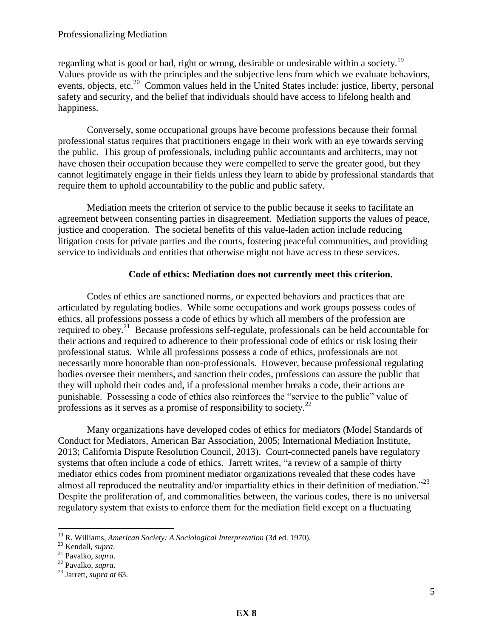regarding what is good or bad, right or wrong, desirable or undesirable within a society.<sup>19</sup> Values provide us with the principles and the subjective lens from which we evaluate behaviors, events, objects, etc.<sup>20</sup> Common values held in the United States include: justice, liberty, personal safety and security, and the belief that individuals should have access to lifelong health and happiness.

Conversely, some occupational groups have become professions because their formal professional status requires that practitioners engage in their work with an eye towards serving the public. This group of professionals, including public accountants and architects, may not have chosen their occupation because they were compelled to serve the greater good, but they cannot legitimately engage in their fields unless they learn to abide by professional standards that require them to uphold accountability to the public and public safety.

Mediation meets the criterion of service to the public because it seeks to facilitate an agreement between consenting parties in disagreement. Mediation supports the values of peace, justice and cooperation. The societal benefits of this value-laden action include reducing litigation costs for private parties and the courts, fostering peaceful communities, and providing service to individuals and entities that otherwise might not have access to these services.

### **Code of ethics: Mediation does not currently meet this criterion.**

Codes of ethics are sanctioned norms, or expected behaviors and practices that are articulated by regulating bodies. While some occupations and work groups possess codes of ethics, all professions possess a code of ethics by which all members of the profession are required to obey.<sup>21</sup> Because professions self-regulate, professionals can be held accountable for their actions and required to adherence to their professional code of ethics or risk losing their professional status. While all professions possess a code of ethics, professionals are not necessarily more honorable than non-professionals. However, because professional regulating bodies oversee their members, and sanction their codes, professions can assure the public that they will uphold their codes and, if a professional member breaks a code, their actions are punishable. Possessing a code of ethics also reinforces the "service to the public" value of professions as it serves as a promise of responsibility to society.<sup>22</sup>

Many organizations have developed codes of ethics for mediators (Model Standards of Conduct for Mediators, American Bar Association, 2005; International Mediation Institute, 2013; California Dispute Resolution Council, 2013). Court-connected panels have regulatory systems that often include a code of ethics. Jarrett writes, "a review of a sample of thirty mediator ethics codes from prominent mediator organizations revealed that these codes have almost all reproduced the neutrality and/or impartiality ethics in their definition of mediation."<sup>23</sup> Despite the proliferation of, and commonalities between, the various codes, there is no universal regulatory system that exists to enforce them for the mediation field except on a fluctuating

<sup>19</sup> R. Williams, *American Society: A Sociological Interpretation* (3d ed. 1970).

<sup>20</sup> Kendall, *supra*.

<sup>21</sup> Pavalko, *supra*.

<sup>22</sup> Pavalko, *supra*.

<sup>23</sup> Jarrett, *supra at* 63.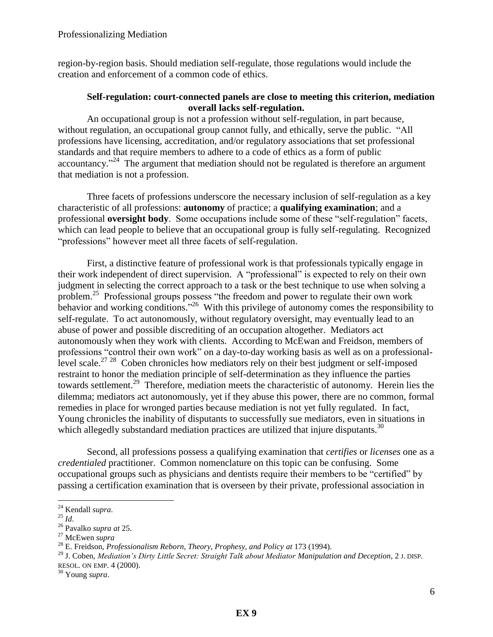region-by-region basis. Should mediation self-regulate, those regulations would include the creation and enforcement of a common code of ethics.

### **Self-regulation: court-connected panels are close to meeting this criterion, mediation overall lacks self-regulation.**

An occupational group is not a profession without self-regulation, in part because, without regulation, an occupational group cannot fully, and ethically, serve the public. "All professions have licensing, accreditation, and/or regulatory associations that set professional standards and that require members to adhere to a code of ethics as a form of public accountancy."<sup>24</sup> The argument that mediation should not be regulated is therefore an argument that mediation is not a profession.

Three facets of professions underscore the necessary inclusion of self-regulation as a key characteristic of all professions: **autonomy** of practice; a **qualifying examination**; and a professional **oversight body**. Some occupations include some of these "self-regulation" facets, which can lead people to believe that an occupational group is fully self-regulating. Recognized "professions" however meet all three facets of self-regulation.

 First, a distinctive feature of professional work is that professionals typically engage in their work independent of direct supervision. A "professional" is expected to rely on their own judgment in selecting the correct approach to a task or the best technique to use when solving a problem.<sup>25</sup> Professional groups possess "the freedom and power to regulate their own work behavior and working conditions."<sup>26</sup> With this privilege of autonomy comes the responsibility to self-regulate. To act autonomously, without regulatory oversight, may eventually lead to an abuse of power and possible discrediting of an occupation altogether. Mediators act autonomously when they work with clients. According to McEwan and Freidson, members of professions "control their own work" on a day-to-day working basis as well as on a professionallevel scale.<sup>27 28</sup> Coben chronicles how mediators rely on their best judgment or self-imposed restraint to honor the mediation principle of self-determination as they influence the parties towards settlement.<sup>29</sup> Therefore, mediation meets the characteristic of autonomy. Herein lies the dilemma; mediators act autonomously, yet if they abuse this power, there are no common, formal remedies in place for wronged parties because mediation is not yet fully regulated. In fact, Young chronicles the inability of disputants to successfully sue mediators, even in situations in which allegedly substandard mediation practices are utilized that injure disputants.<sup>30</sup>

Second, all professions possess a qualifying examination that *certifies* or *licenses* one as a *credentialed* practitioner. Common nomenclature on this topic can be confusing. Some occupational groups such as physicians and dentists require their members to be "certified" by passing a certification examination that is overseen by their private, professional association in

<sup>24</sup> Kendall *supra*.

 $^{25}$  *Id.* 

<sup>26</sup> Pavalko *supra at* 25.

<sup>27</sup> McEwen *supra*

<sup>28</sup> E. Freidson, *Professionalism Reborn, Theory, Prophesy, and Policy at* 173 (1994).

<sup>29</sup> J. Coben, *Mediation's Dirty Little Secret: Straight Talk about Mediator Manipulation and Deception*, 2 J. DISP. RESOL. ON EMP. 4 (2000).

<sup>30</sup> Young *supra*.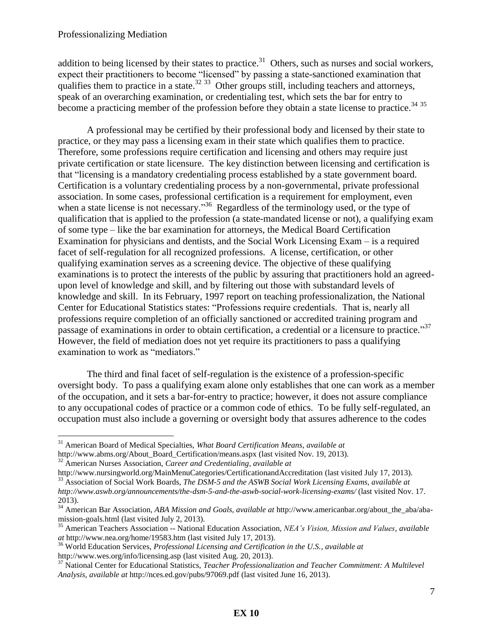addition to being licensed by their states to practice.<sup>31</sup> Others, such as nurses and social workers, expect their practitioners to become "licensed" by passing a state-sanctioned examination that qualifies them to practice in a state. $^{32}$   $^{33}$  Other groups still, including teachers and attorneys, speak of an overarching examination, or credentialing test, which sets the bar for entry to become a practicing member of the profession before they obtain a state license to practice.<sup>34 35</sup>

A professional may be certified by their professional body and licensed by their state to practice, or they may pass a licensing exam in their state which qualifies them to practice. Therefore, some professions require certification and licensing and others may require just private certification or state licensure. The key distinction between licensing and certification is that "licensing is a mandatory credentialing process established by a state government board. Certification is a voluntary credentialing process by a non-governmental, private professional association. In some cases, professional certification is a requirement for employment, even when a state license is not necessary."<sup>36</sup> Regardless of the terminology used, or the type of qualification that is applied to the profession (a state-mandated license or not), a qualifying exam of some type – like the bar examination for attorneys, the Medical Board Certification Examination for physicians and dentists, and the Social Work Licensing Exam – is a required facet of self-regulation for all recognized professions. A license, certification, or other qualifying examination serves as a screening device. The objective of these qualifying examinations is to protect the interests of the public by assuring that practitioners hold an agreedupon level of knowledge and skill, and by filtering out those with substandard levels of knowledge and skill. In its February, 1997 report on teaching professionalization, the National Center for Educational Statistics states: "Professions require credentials. That is, nearly all professions require completion of an officially sanctioned or accredited training program and passage of examinations in order to obtain certification, a credential or a licensure to practice."<sup>37</sup> However, the field of mediation does not yet require its practitioners to pass a qualifying examination to work as "mediators."

The third and final facet of self-regulation is the existence of a profession-specific oversight body. To pass a qualifying exam alone only establishes that one can work as a member of the occupation, and it sets a bar-for-entry to practice; however, it does not assure compliance to any occupational codes of practice or a common code of ethics. To be fully self-regulated, an occupation must also include a governing or oversight body that assures adherence to the codes

 $\overline{a}$ 

<sup>36</sup> World Education Services, *Professional Licensing and Certification in the U.S., available at* http://www.wes.org/info/licensing.asp (last visited Aug. 20, 2013).

<sup>31</sup> American Board of Medical Specialties, *What Board Certification Means*, *available at* http://www.abms.org/About\_Board\_Certification/means.aspx (last visited Nov. 19, 2013).

<sup>32</sup> American Nurses Association, *Career and Credentialing*, *available at*

http://www.nursingworld.org/MainMenuCategories/CertificationandAccreditation (last visited July 17, 2013).

<sup>33</sup> Association of Social Work Boards, *The DSM-5 and the ASWB Social Work Licensing Exams, available at http://www.aswb.org/announcements/the-dsm-5-and-the-aswb-social-work-licensing-exams/* (last visited Nov. 17. 2013).

<sup>34</sup> American Bar Association, *ABA Mission and Goals, available at* http://www.americanbar.org/about\_the\_aba/abamission-goals.html (last visited July 2, 2013).

<sup>35</sup> American Teachers Association -- National Education Association, *NEA's Vision, Mission and Values*, *available at* http://www.nea.org/home/19583.htm (last visited July 17, 2013).

<sup>37</sup> National Center for Educational Statistics, *Teacher Professionalization and Teacher Commitment: A Multilevel Analysis, available at* http://nces.ed.gov/pubs/97069.pdf (last visited June 16, 2013).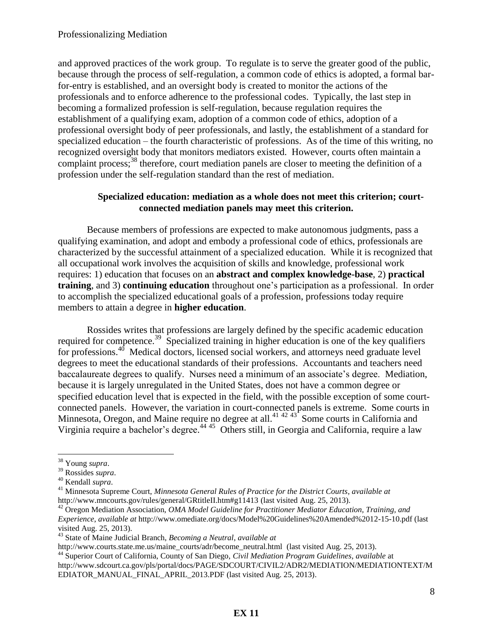and approved practices of the work group. To regulate is to serve the greater good of the public, because through the process of self-regulation, a common code of ethics is adopted, a formal barfor-entry is established, and an oversight body is created to monitor the actions of the professionals and to enforce adherence to the professional codes. Typically, the last step in becoming a formalized profession is self-regulation, because regulation requires the establishment of a qualifying exam, adoption of a common code of ethics, adoption of a professional oversight body of peer professionals, and lastly, the establishment of a standard for specialized education – the fourth characteristic of professions. As of the time of this writing, no recognized oversight body that monitors mediators existed. However, courts often maintain a complaint process;<sup>38</sup> therefore, court mediation panels are closer to meeting the definition of a profession under the self-regulation standard than the rest of mediation.

### **Specialized education: mediation as a whole does not meet this criterion; courtconnected mediation panels may meet this criterion.**

Because members of professions are expected to make autonomous judgments, pass a qualifying examination, and adopt and embody a professional code of ethics, professionals are characterized by the successful attainment of a specialized education. While it is recognized that all occupational work involves the acquisition of skills and knowledge, professional work requires: 1) education that focuses on an **abstract and complex knowledge-base**, 2) **practical training**, and 3) **continuing education** throughout one's participation as a professional. In order to accomplish the specialized educational goals of a profession, professions today require members to attain a degree in **higher education**.

Rossides writes that professions are largely defined by the specific academic education required for competence.<sup>39</sup> Specialized training in higher education is one of the key qualifiers for professions.<sup>40</sup> Medical doctors, licensed social workers, and attorneys need graduate level degrees to meet the educational standards of their professions. Accountants and teachers need baccalaureate degrees to qualify. Nurses need a minimum of an associate's degree. Mediation, because it is largely unregulated in the United States, does not have a common degree or specified education level that is expected in the field, with the possible exception of some courtconnected panels. However, the variation in court-connected panels is extreme. Some courts in Minnesota, Oregon, and Maine require no degree at all.<sup>41 42 43</sup> Some courts in California and Virginia require a bachelor's degree. <sup>44</sup> <sup>45</sup> Others still, in Georgia and California, require a law

 $\overline{a}$ 

http://www.courts.state.me.us/maine\_courts/adr/become\_neutral.html (last visited Aug. 25, 2013).

<sup>38</sup> Young *supra*.

<sup>39</sup> Rossides *supra*.

<sup>40</sup> Kendall *supra*.

<sup>41</sup> Minnesota Supreme Court, *Minnesota General Rules of Practice for the District Courts*, *available at* http://www.mncourts.gov/rules/general/GRtitleII.htm#g11413 (last visited Aug. 25, 2013).

<sup>42</sup> Oregon Mediation Association, *OMA Model Guideline for Practitioner Mediator Education, Training, and Experience*, *available at* http://www.omediate.org/docs/Model%20Guidelines%20Amended%2012-15-10.pdf (last visited Aug. 25, 2013).

<sup>43</sup> State of Maine Judicial Branch, *Becoming a Neutral*, *available at*

<sup>44</sup> Superior Court of California, County of San Diego, *Civil Mediation Program Guidelines, available* at http://www.sdcourt.ca.gov/pls/portal/docs/PAGE/SDCOURT/CIVIL2/ADR2/MEDIATION/MEDIATIONTEXT/M EDIATOR\_MANUAL\_FINAL\_APRIL\_2013.PDF (last visited Aug. 25, 2013).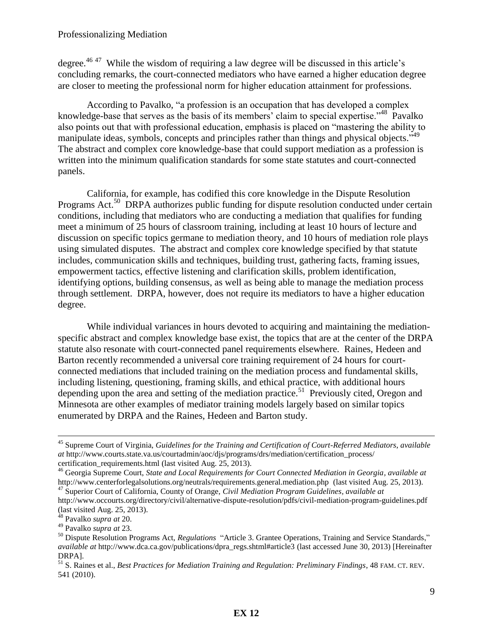degree.<sup>46 47</sup> While the wisdom of requiring a law degree will be discussed in this article's concluding remarks, the court-connected mediators who have earned a higher education degree are closer to meeting the professional norm for higher education attainment for professions.

According to Pavalko, "a profession is an occupation that has developed a complex knowledge-base that serves as the basis of its members' claim to special expertise."<sup>48</sup> Pavalko also points out that with professional education, emphasis is placed on "mastering the ability to manipulate ideas, symbols, concepts and principles rather than things and physical objects."<sup>49</sup> The abstract and complex core knowledge-base that could support mediation as a profession is written into the minimum qualification standards for some state statutes and court-connected panels.

California, for example, has codified this core knowledge in the Dispute Resolution Programs Act.<sup>50</sup> DRPA authorizes public funding for dispute resolution conducted under certain conditions, including that mediators who are conducting a mediation that qualifies for funding meet a minimum of 25 hours of classroom training, including at least 10 hours of lecture and discussion on specific topics germane to mediation theory, and 10 hours of mediation role plays using simulated disputes. The abstract and complex core knowledge specified by that statute includes, communication skills and techniques, building trust, gathering facts, framing issues, empowerment tactics, effective listening and clarification skills, problem identification, identifying options, building consensus, as well as being able to manage the mediation process through settlement. DRPA, however, does not require its mediators to have a higher education degree.

While individual variances in hours devoted to acquiring and maintaining the mediationspecific abstract and complex knowledge base exist, the topics that are at the center of the DRPA statute also resonate with court-connected panel requirements elsewhere. Raines, Hedeen and Barton recently recommended a universal core training requirement of 24 hours for courtconnected mediations that included training on the mediation process and fundamental skills*,* including listening, questioning, framing skills, and ethical practice, with additional hours depending upon the area and setting of the mediation practice.<sup>51</sup> Previously cited, Oregon and Minnesota are other examples of mediator training models largely based on similar topics enumerated by DRPA and the Raines, Hedeen and Barton study.

<sup>45</sup> Supreme Court of Virginia, *Guidelines for the Training and Certification of Court-Referred Mediators*, *available at* http://www.courts.state.va.us/courtadmin/aoc/djs/programs/drs/mediation/certification\_process/ certification\_requirements.html (last visited Aug. 25, 2013).

<sup>46</sup> Georgia Supreme Court, *State and Local Requirements for Court Connected Mediation in Georgia, available at* http://www.centerforlegalsolutions.org/neutrals/requirements.general.mediation.php (last visited Aug. 25, 2013).

<sup>47</sup> Superior Court of California, County of Orange, *Civil Mediation Program Guidelines, available at* http://www.occourts.org/directory/civil/alternative-dispute-resolution/pdfs/civil-mediation-program-guidelines.pdf

<sup>(</sup>last visited Aug. 25, 2013). <sup>48</sup> Pavalko *supra at* 20.

<sup>49</sup> Pavalko *supra at* 23.

<sup>&</sup>lt;sup>50</sup> Dispute Resolution Programs Act, *Regulations* "Article 3. Grantee Operations, Training and Service Standards," *available at* http://www.dca.ca.gov/publications/dpra\_regs.shtml#article3 (last accessed June 30, 2013) [Hereinafter DRPA].

<sup>51</sup> S. Raines et al., *Best Practices for Mediation Training and Regulation: Preliminary Findings*, 48 FAM. CT. REV. 541 (2010).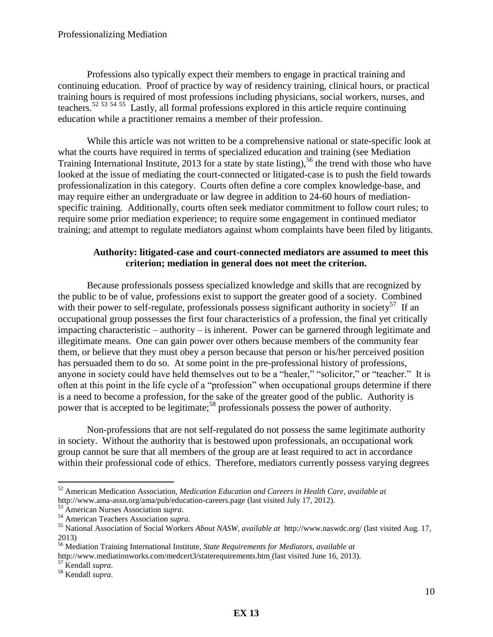Professions also typically expect their members to engage in practical training and continuing education. Proof of practice by way of residency training, clinical hours, or practical training hours is required of most professions including physicians, social workers, nurses, and teachers.<sup>52 53 54 55</sup> Lastly, all formal professions explored in this article require continuing education while a practitioner remains a member of their profession.

While this article was not written to be a comprehensive national or state-specific look at what the courts have required in terms of specialized education and training (see Mediation Training International Institute, 2013 for a state by state listing),  $56$  the trend with those who have looked at the issue of mediating the court-connected or litigated-case is to push the field towards professionalization in this category. Courts often define a core complex knowledge-base, and may require either an undergraduate or law degree in addition to 24-60 hours of mediationspecific training. Additionally, courts often seek mediator commitment to follow court rules; to require some prior mediation experience; to require some engagement in continued mediator training; and attempt to regulate mediators against whom complaints have been filed by litigants.

## **Authority: litigated-case and court-connected mediators are assumed to meet this criterion; mediation in general does not meet the criterion.**

Because professionals possess specialized knowledge and skills that are recognized by the public to be of value, professions exist to support the greater good of a society. Combined with their power to self-regulate, professionals possess significant authority in society<sup>57</sup> If an occupational group possesses the first four characteristics of a profession, the final yet critically impacting characteristic – authority – is inherent. Power can be garnered through legitimate and illegitimate means. One can gain power over others because members of the community fear them, or believe that they must obey a person because that person or his/her perceived position has persuaded them to do so. At some point in the pre-professional history of professions, anyone in society could have held themselves out to be a "healer," "solicitor," or "teacher." It is often at this point in the life cycle of a "profession" when occupational groups determine if there is a need to become a profession, for the sake of the greater good of the public. Authority is power that is accepted to be legitimate;<sup>58</sup> professionals possess the power of authority.

Non-professions that are not self-regulated do not possess the same legitimate authority in society. Without the authority that is bestowed upon professionals, an occupational work group cannot be sure that all members of the group are at least required to act in accordance within their professional code of ethics. Therefore, mediators currently possess varying degrees

<sup>52</sup> American Medication Association, *Medication Education and Careers in Health Care, available at* http://www.ama-assn.org/ama/pub/education-careers.page (last visited July 17, 2012).

<sup>53</sup> American Nurses Association *supra*.

<sup>54</sup> American Teachers Association *supra*.

<sup>55</sup> National Association of Social Workers *About NASW, available at* http://www.naswdc.org/ (last visited Aug. 17, 2013)

<sup>56</sup> Mediation Training International Institute, *State Requirements for Mediators, available at*

http://www.mediationworks.com/medcert3/staterequirements.htm (last visited June 16, 2013).

<sup>57</sup> Kendall *supra*.

<sup>58</sup> Kendall *supra*.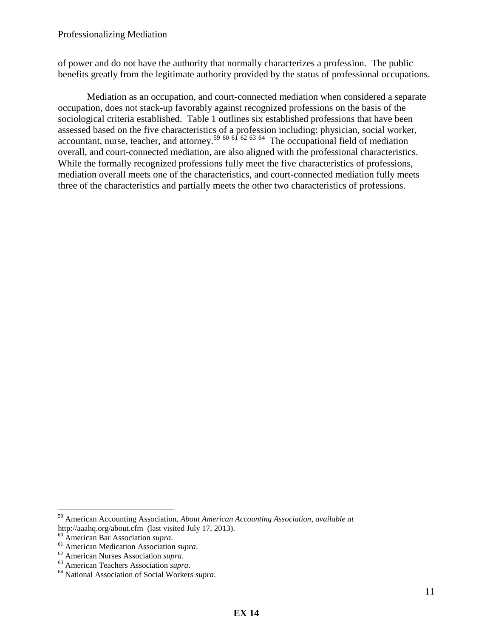of power and do not have the authority that normally characterizes a profession. The public benefits greatly from the legitimate authority provided by the status of professional occupations.

 Mediation as an occupation, and court-connected mediation when considered a separate occupation, does not stack-up favorably against recognized professions on the basis of the sociological criteria established. Table 1 outlines six established professions that have been assessed based on the five characteristics of a profession including: physician, social worker, accountant, nurse, teacher, and attorney.<sup>59 60 61 62 63 64</sup> The occupational field of mediation overall, and court-connected mediation, are also aligned with the professional characteristics. While the formally recognized professions fully meet the five characteristics of professions, mediation overall meets one of the characteristics, and court-connected mediation fully meets three of the characteristics and partially meets the other two characteristics of professions.

<sup>59</sup> American Accounting Association, *About American Accounting Association*, *available at* http://aaahq.org/about.cfm (last visited July 17, 2013).

<sup>60</sup> American Bar Association *supra*.

<sup>61</sup> American Medication Association *supra*.

<sup>62</sup> American Nurses Association *supra*.

<sup>63</sup> American Teachers Association *supra*.

<sup>64</sup> National Association of Social Workers *supra*.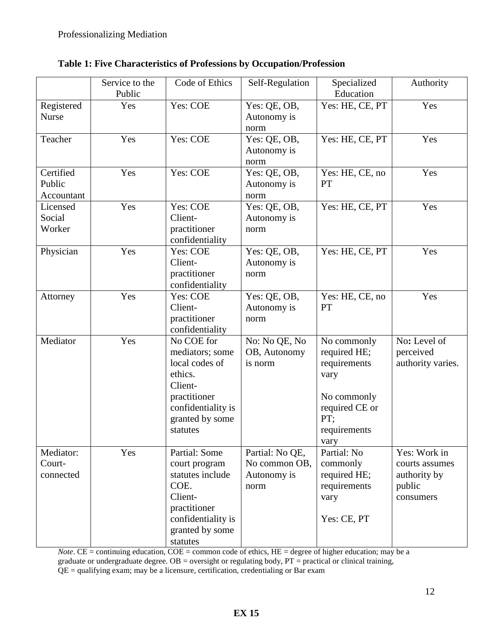|                                   | Service to the<br>Public | Code of Ethics                                                                                                                             | Self-Regulation                                         | Specialized<br>Education                                                                                            | Authority                                                             |
|-----------------------------------|--------------------------|--------------------------------------------------------------------------------------------------------------------------------------------|---------------------------------------------------------|---------------------------------------------------------------------------------------------------------------------|-----------------------------------------------------------------------|
| Registered<br><b>Nurse</b>        | Yes                      | Yes: COE                                                                                                                                   | Yes: QE, OB,<br>Autonomy is<br>norm                     | Yes: HE, CE, PT                                                                                                     | Yes                                                                   |
| Teacher                           | Yes                      | Yes: COE                                                                                                                                   | Yes: QE, OB,<br>Autonomy is<br>norm                     | Yes: HE, CE, PT                                                                                                     | Yes                                                                   |
| Certified<br>Public<br>Accountant | Yes                      | Yes: COE                                                                                                                                   | Yes: QE, OB,<br>Autonomy is<br>norm                     | Yes: HE, CE, no<br>PT                                                                                               | Yes                                                                   |
| Licensed<br>Social<br>Worker      | Yes                      | Yes: COE<br>Client-<br>practitioner<br>confidentiality                                                                                     | Yes: QE, OB,<br>Autonomy is<br>norm                     | Yes: HE, CE, PT                                                                                                     | Yes                                                                   |
| Physician                         | Yes                      | Yes: COE<br>Client-<br>practitioner<br>confidentiality                                                                                     | Yes: QE, OB,<br>Autonomy is<br>norm                     | Yes: HE, CE, PT                                                                                                     | Yes                                                                   |
| Attorney                          | Yes                      | Yes: COE<br>Client-<br>practitioner<br>confidentiality                                                                                     | Yes: QE, OB,<br>Autonomy is<br>norm                     | Yes: HE, CE, no<br>PT                                                                                               | Yes                                                                   |
| Mediator                          | Yes                      | No COE for<br>mediators; some<br>local codes of<br>ethics.<br>Client-<br>practitioner<br>confidentiality is<br>granted by some<br>statutes | No: No QE, No<br>OB, Autonomy<br>is norm                | No commonly<br>required HE;<br>requirements<br>vary<br>No commonly<br>required CE or<br>PT:<br>requirements<br>vary | No: Level of<br>perceived<br>authority varies.                        |
| Mediator:<br>Court-<br>connected  | Yes                      | Partial: Some<br>court program<br>statutes include<br>COE.<br>Client-<br>practitioner<br>confidentiality is<br>granted by some<br>statutes | Partial: No QE,<br>No common OB,<br>Autonomy is<br>norm | Partial: No<br>commonly<br>required HE;<br>requirements<br>vary<br>Yes: CE, PT                                      | Yes: Work in<br>courts assumes<br>authority by<br>public<br>consumers |

*Note*. CE = continuing education, COE = common code of ethics, HE = degree of higher education; may be a graduate or undergraduate degree.  $OB =$  oversight or regulating body,  $PT =$  practical or clinical training, QE = qualifying exam; may be a licensure, certification, credentialing or Bar exam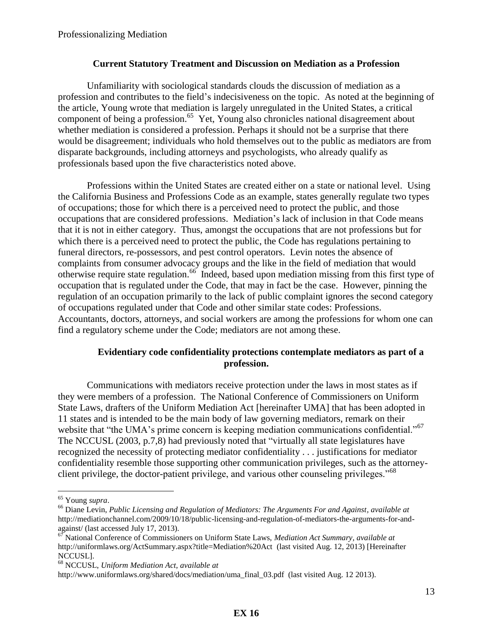#### **Current Statutory Treatment and Discussion on Mediation as a Profession**

 Unfamiliarity with sociological standards clouds the discussion of mediation as a profession and contributes to the field's indecisiveness on the topic. As noted at the beginning of the article, Young wrote that mediation is largely unregulated in the United States, a critical component of being a profession.<sup>65</sup> Yet, Young also chronicles national disagreement about whether mediation is considered a profession. Perhaps it should not be a surprise that there would be disagreement; individuals who hold themselves out to the public as mediators are from disparate backgrounds, including attorneys and psychologists, who already qualify as professionals based upon the five characteristics noted above.

 Professions within the United States are created either on a state or national level. Using the California Business and Professions Code as an example, states generally regulate two types of occupations; those for which there is a perceived need to protect the public, and those occupations that are considered professions. Mediation's lack of inclusion in that Code means that it is not in either category. Thus, amongst the occupations that are not professions but for which there is a perceived need to protect the public, the Code has regulations pertaining to funeral directors, re-possessors, and pest control operators. Levin notes the absence of complaints from consumer advocacy groups and the like in the field of mediation that would otherwise require state regulation.<sup>66</sup> Indeed, based upon mediation missing from this first type of occupation that is regulated under the Code, that may in fact be the case. However, pinning the regulation of an occupation primarily to the lack of public complaint ignores the second category of occupations regulated under that Code and other similar state codes: Professions. Accountants, doctors, attorneys, and social workers are among the professions for whom one can find a regulatory scheme under the Code; mediators are not among these.

## **Evidentiary code confidentiality protections contemplate mediators as part of a profession.**

Communications with mediators receive protection under the laws in most states as if they were members of a profession. The National Conference of Commissioners on Uniform State Laws, drafters of the Uniform Mediation Act [hereinafter UMA] that has been adopted in 11 states and is intended to be the main body of law governing mediators, remark on their website that "the UMA's prime concern is keeping mediation communications confidential."<sup>67</sup> The NCCUSL (2003, p.7,8) had previously noted that "virtually all state legislatures have recognized the necessity of protecting mediator confidentiality . . . justifications for mediator confidentiality resemble those supporting other communication privileges, such as the attorneyclient privilege, the doctor-patient privilege, and various other counseling privileges."<sup>68</sup>

<sup>65</sup> Young *supra*.

<sup>66</sup> Diane Levin, *Public Licensing and Regulation of Mediators: The Arguments For and Against, available at* http://mediationchannel.com/2009/10/18/public-licensing-and-regulation-of-mediators-the-arguments-for-andagainst/ (last accessed July 17, 2013).

<sup>67</sup> National Conference of Commissioners on Uniform State Laws, *Mediation Act Summary, available at* http://uniformlaws.org/ActSummary.aspx?title=Mediation%20Act (last visited Aug. 12, 2013) [Hereinafter NCCUSL].

<sup>68</sup> NCCUSL, *Uniform Mediation Act, available at*

http://www.uniformlaws.org/shared/docs/mediation/uma\_final\_03.pdf (last visited Aug. 12 2013).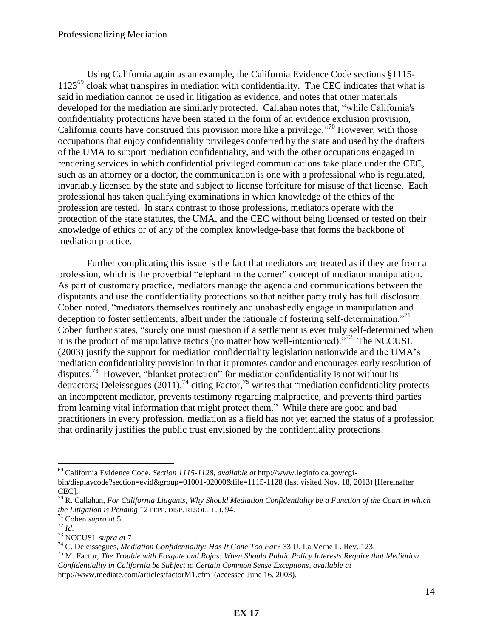Using California again as an example, the California Evidence Code sections §1115- 1123<sup>69</sup> cloak what transpires in mediation with confidentiality. The CEC indicates that what is said in mediation cannot be used in litigation as evidence, and notes that other materials developed for the mediation are similarly protected. Callahan notes that, "while California's confidentiality protections have been stated in the form of an evidence exclusion provision, California courts have construed this provision more like a privilege."<sup>70</sup> However, with those occupations that enjoy confidentiality privileges conferred by the state and used by the drafters of the UMA to support mediation confidentiality, and with the other occupations engaged in rendering services in which confidential privileged communications take place under the CEC, such as an attorney or a doctor, the communication is one with a professional who is regulated, invariably licensed by the state and subject to license forfeiture for misuse of that license. Each professional has taken qualifying examinations in which knowledge of the ethics of the profession are tested. In stark contrast to those professions, mediators operate with the protection of the state statutes, the UMA, and the CEC without being licensed or tested on their knowledge of ethics or of any of the complex knowledge-base that forms the backbone of mediation practice.

Further complicating this issue is the fact that mediators are treated as if they are from a profession, which is the proverbial "elephant in the corner" concept of mediator manipulation. As part of customary practice, mediators manage the agenda and communications between the disputants and use the confidentiality protections so that neither party truly has full disclosure. Coben noted, "mediators themselves routinely and unabashedly engage in manipulation and deception to foster settlements, albeit under the rationale of fostering self-determination."<sup>71</sup> Coben further states, "surely one must question if a settlement is ever truly self-determined when it is the product of manipulative tactics (no matter how well-intentioned).<sup>572</sup> The NCCUSL (2003) justify the support for mediation confidentiality legislation nationwide and the UMA's mediation confidentiality provision in that it promotes candor and encourages early resolution of disputes.<sup>73</sup> However, "blanket protection" for mediator confidentiality is not without its detractors; Deleissegues  $(2011)$ ,<sup>74</sup> citing Factor,<sup>75</sup> writes that "mediation confidentiality protects an incompetent mediator, prevents testimony regarding malpractice, and prevents third parties from learning vital information that might protect them." While there are good and bad practitioners in every profession, mediation as a field has not yet earned the status of a profession that ordinarily justifies the public trust envisioned by the confidentiality protections.

<sup>69</sup> California Evidence Code, *Section 1115-1128*, *available at* http://www.leginfo.ca.gov/cgibin/displaycode?section=evid&group=01001-02000&file=1115-1128 (last visited Nov. 18, 2013) [Hereinafter CEC].

<sup>70</sup> R. Callahan, *For California Litigants, Why Should Mediation Confidentiality be a Function of the Court in which the Litigation is Pending* 12 PEPP. DISP. RESOL. L. J. 94.

<sup>71</sup> Coben *supra at* 5.

 $72$  *Id.* 

<sup>73</sup> NCCUSL *supra a*t 7

<sup>74</sup> C. Deleissegues, *Mediation Confidentiality: Has It Gone Too Far?* 33 U. La Verne L. Rev. 123.

<sup>75</sup> M. Factor, *The Trouble with Foxgate and Rojas: When Should Public Policy Interests Require that Mediation Confidentiality in California be Subject to Certain Common Sense Exceptions*, *available at*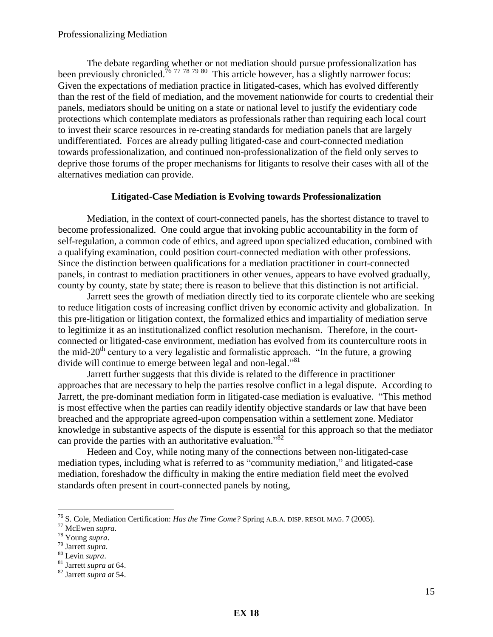The debate regarding whether or not mediation should pursue professionalization has been previously chronicled.<sup>76 77 78 79</sup> 80 This article however, has a slightly narrower focus: Given the expectations of mediation practice in litigated-cases, which has evolved differently than the rest of the field of mediation, and the movement nationwide for courts to credential their panels, mediators should be uniting on a state or national level to justify the evidentiary code protections which contemplate mediators as professionals rather than requiring each local court to invest their scarce resources in re-creating standards for mediation panels that are largely undifferentiated. Forces are already pulling litigated-case and court-connected mediation towards professionalization, and continued non-professionalization of the field only serves to deprive those forums of the proper mechanisms for litigants to resolve their cases with all of the alternatives mediation can provide.

#### **Litigated-Case Mediation is Evolving towards Professionalization**

Mediation, in the context of court-connected panels, has the shortest distance to travel to become professionalized. One could argue that invoking public accountability in the form of self-regulation, a common code of ethics, and agreed upon specialized education, combined with a qualifying examination, could position court-connected mediation with other professions. Since the distinction between qualifications for a mediation practitioner in court-connected panels, in contrast to mediation practitioners in other venues, appears to have evolved gradually, county by county, state by state; there is reason to believe that this distinction is not artificial.

Jarrett sees the growth of mediation directly tied to its corporate clientele who are seeking to reduce litigation costs of increasing conflict driven by economic activity and globalization. In this pre-litigation or litigation context, the formalized ethics and impartiality of mediation serve to legitimize it as an institutionalized conflict resolution mechanism. Therefore, in the courtconnected or litigated-case environment, mediation has evolved from its counterculture roots in the mid-20<sup>th</sup> century to a very legalistic and formalistic approach. "In the future, a growing divide will continue to emerge between legal and non-legal."<sup>81</sup>

Jarrett further suggests that this divide is related to the difference in practitioner approaches that are necessary to help the parties resolve conflict in a legal dispute. According to Jarrett, the pre-dominant mediation form in litigated-case mediation is evaluative. "This method is most effective when the parties can readily identify objective standards or law that have been breached and the appropriate agreed-upon compensation within a settlement zone. Mediator knowledge in substantive aspects of the dispute is essential for this approach so that the mediator can provide the parties with an authoritative evaluation."<sup>82</sup>

 Hedeen and Coy, while noting many of the connections between non-litigated-case mediation types, including what is referred to as "community mediation," and litigated-case mediation, foreshadow the difficulty in making the entire mediation field meet the evolved standards often present in court-connected panels by noting,

<sup>76</sup> S. Cole, Mediation Certification: *Has the Time Come?* Spring A.B.A. DISP. RESOL MAG. 7 (2005).

<sup>77</sup> McEwen *supra*.

<sup>78</sup> Young *supra*.

<sup>79</sup> Jarrett *supra*.

<sup>80</sup> Levin *supra*.

<sup>81</sup> Jarrett *supra at* 64.

<sup>82</sup> Jarrett *supra at* 54.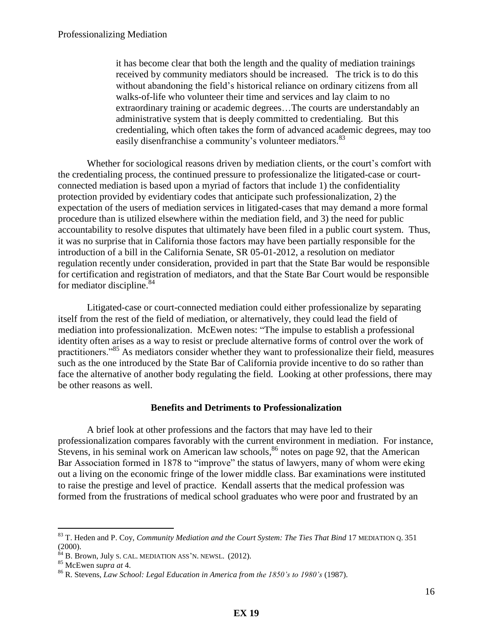it has become clear that both the length and the quality of mediation trainings received by community mediators should be increased. The trick is to do this without abandoning the field's historical reliance on ordinary citizens from all walks-of-life who volunteer their time and services and lay claim to no extraordinary training or academic degrees…The courts are understandably an administrative system that is deeply committed to credentialing. But this credentialing, which often takes the form of advanced academic degrees, may too easily disenfranchise a community's volunteer mediators.<sup>83</sup>

 Whether for sociological reasons driven by mediation clients, or the court's comfort with the credentialing process, the continued pressure to professionalize the litigated-case or courtconnected mediation is based upon a myriad of factors that include 1) the confidentiality protection provided by evidentiary codes that anticipate such professionalization, 2) the expectation of the users of mediation services in litigated-cases that may demand a more formal procedure than is utilized elsewhere within the mediation field, and 3) the need for public accountability to resolve disputes that ultimately have been filed in a public court system. Thus, it was no surprise that in California those factors may have been partially responsible for the introduction of a bill in the California Senate, SR 05-01-2012, a resolution on mediator regulation recently under consideration, provided in part that the State Bar would be responsible for certification and registration of mediators, and that the State Bar Court would be responsible for mediator discipline.<sup>84</sup>

Litigated-case or court-connected mediation could either professionalize by separating itself from the rest of the field of mediation, or alternatively, they could lead the field of mediation into professionalization. McEwen notes: "The impulse to establish a professional identity often arises as a way to resist or preclude alternative forms of control over the work of practitioners."<sup>85</sup> As mediators consider whether they want to professionalize their field, measures such as the one introduced by the State Bar of California provide incentive to do so rather than face the alternative of another body regulating the field. Looking at other professions, there may be other reasons as well.

#### **Benefits and Detriments to Professionalization**

A brief look at other professions and the factors that may have led to their professionalization compares favorably with the current environment in mediation. For instance, Stevens, in his seminal work on American law schools,  $86$  notes on page 92, that the American Bar Association formed in 1878 to "improve" the status of lawyers, many of whom were eking out a living on the economic fringe of the lower middle class. Bar examinations were instituted to raise the prestige and level of practice. Kendall asserts that the medical profession was formed from the frustrations of medical school graduates who were poor and frustrated by an

<sup>83</sup> T. Heden and P. Coy, *Community Mediation and the Court System: The Ties That Bind* 17 MEDIATION Q. 351 (2000).

 $84$  B. Brown, July S. CAL. MEDIATION ASS'N. NEWSL. (2012).

<sup>85</sup> McEwen *supra at* 4.

<sup>86</sup> R. Stevens, *Law School: Legal Education in America from the 1850's to 1980's* (1987).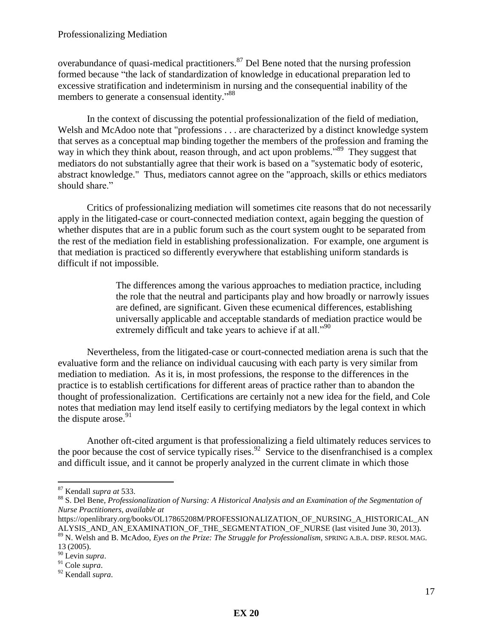overabundance of quasi-medical practitioners.<sup>87</sup> Del Bene noted that the nursing profession formed because "the lack of standardization of knowledge in educational preparation led to excessive stratification and indeterminism in nursing and the consequential inability of the members to generate a consensual identity."<sup>88</sup>

In the context of discussing the potential professionalization of the field of mediation, Welsh and McAdoo note that "professions . . . are characterized by a distinct knowledge system that serves as a conceptual map binding together the members of the profession and framing the way in which they think about, reason through, and act upon problems."<sup>89</sup> They suggest that mediators do not substantially agree that their work is based on a "systematic body of esoteric, abstract knowledge." Thus, mediators cannot agree on the "approach, skills or ethics mediators should share."

Critics of professionalizing mediation will sometimes cite reasons that do not necessarily apply in the litigated-case or court-connected mediation context, again begging the question of whether disputes that are in a public forum such as the court system ought to be separated from the rest of the mediation field in establishing professionalization. For example, one argument is that mediation is practiced so differently everywhere that establishing uniform standards is difficult if not impossible.

> The differences among the various approaches to mediation practice, including the role that the neutral and participants play and how broadly or narrowly issues are defined, are significant. Given these ecumenical differences, establishing universally applicable and acceptable standards of mediation practice would be extremely difficult and take years to achieve if at all."<sup>90</sup>

Nevertheless, from the litigated-case or court-connected mediation arena is such that the evaluative form and the reliance on individual caucusing with each party is very similar from mediation to mediation. As it is, in most professions, the response to the differences in the practice is to establish certifications for different areas of practice rather than to abandon the thought of professionalization. Certifications are certainly not a new idea for the field, and Cole notes that mediation may lend itself easily to certifying mediators by the legal context in which the dispute arose. $91$ 

Another oft-cited argument is that professionalizing a field ultimately reduces services to the poor because the cost of service typically rises.<sup>92</sup> Service to the disenfranchised is a complex and difficult issue, and it cannot be properly analyzed in the current climate in which those

<sup>87</sup> Kendall *supra at* 533.

<sup>88</sup> S. Del Bene, *Professionalization of Nursing: A Historical Analysis and an Examination of the Segmentation of Nurse Practitioners, available at*

https://openlibrary.org/books/OL17865208M/PROFESSIONALIZATION\_OF\_NURSING\_A\_HISTORICAL\_AN ALYSIS\_AND\_AN\_EXAMINATION\_OF\_THE\_SEGMENTATION\_OF\_NURSE (last visited June 30, 2013).

<sup>89</sup> N. Welsh and B. McAdoo, *Eyes on the Prize: The Struggle for Professionalism*, SPRING A.B.A. DISP. RESOL MAG. 13 (2005).

<sup>90</sup> Levin *supra*.

<sup>91</sup> Cole *supra*.

<sup>92</sup> Kendall *supra*.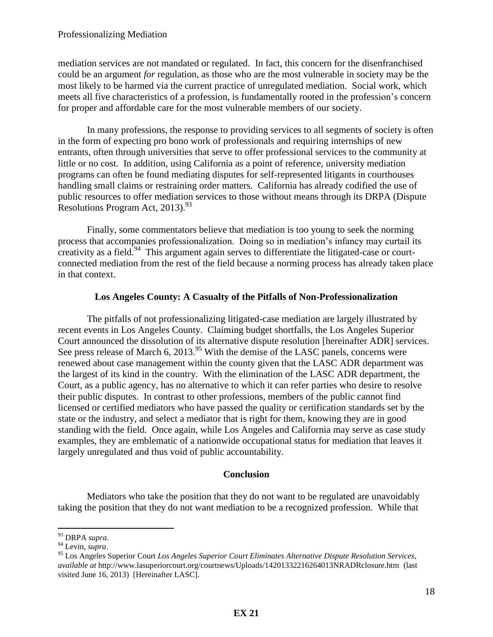mediation services are not mandated or regulated. In fact, this concern for the disenfranchised could be an argument *for* regulation, as those who are the most vulnerable in society may be the most likely to be harmed via the current practice of unregulated mediation. Social work, which meets all five characteristics of a profession, is fundamentally rooted in the profession's concern for proper and affordable care for the most vulnerable members of our society.

In many professions, the response to providing services to all segments of society is often in the form of expecting pro bono work of professionals and requiring internships of new entrants, often through universities that serve to offer professional services to the community at little or no cost. In addition, using California as a point of reference, university mediation programs can often be found mediating disputes for self-represented litigants in courthouses handling small claims or restraining order matters. California has already codified the use of public resources to offer mediation services to those without means through its DRPA (Dispute Resolutions Program Act, 2013).<sup>93</sup>

Finally, some commentators believe that mediation is too young to seek the norming process that accompanies professionalization. Doing so in mediation's infancy may curtail its creativity as a field.<sup>94</sup> This argument again serves to differentiate the litigated-case or courtconnected mediation from the rest of the field because a norming process has already taken place in that context.

## **Los Angeles County: A Casualty of the Pitfalls of Non-Professionalization**

The pitfalls of not professionalizing litigated-case mediation are largely illustrated by recent events in Los Angeles County. Claiming budget shortfalls, the Los Angeles Superior Court announced the dissolution of its alternative dispute resolution [hereinafter ADR] services. See press release of March 6,  $2013^{95}$  With the demise of the LASC panels, concerns were renewed about case management within the county given that the LASC ADR department was the largest of its kind in the country. With the elimination of the LASC ADR department, the Court, as a public agency, has no alternative to which it can refer parties who desire to resolve their public disputes. In contrast to other professions, members of the public cannot find licensed or certified mediators who have passed the quality or certification standards set by the state or the industry, and select a mediator that is right for them, knowing they are in good standing with the field. Once again, while Los Angeles and California may serve as case study examples, they are emblematic of a nationwide occupational status for mediation that leaves it largely unregulated and thus void of public accountability.

#### **Conclusion**

Mediators who take the position that they do not want to be regulated are unavoidably taking the position that they do not want mediation to be a recognized profession. While that

<sup>93</sup> DRPA *supra*.

<sup>94</sup> Levin, *supra*.

<sup>95</sup> Los Angeles Superior Court *Los Angeles Superior Court Eliminates Alternative Dispute Resolution Services*, *available at* http://www.lasuperiorcourt.org/courtnews/Uploads/14201332216264013NRADRclosure.htm (last visited June 16, 2013) [Hereinafter LASC].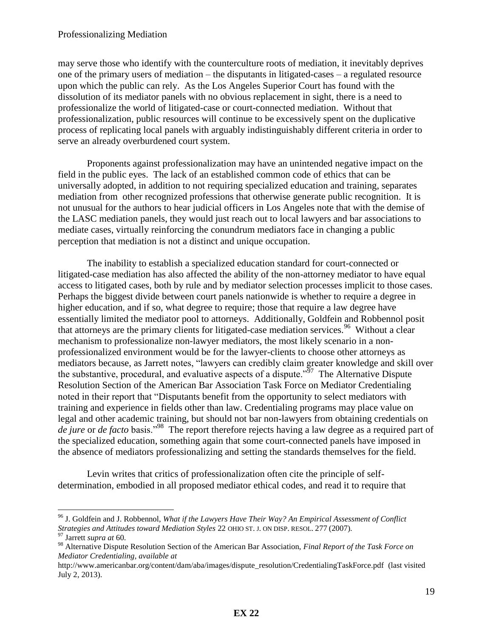may serve those who identify with the counterculture roots of mediation, it inevitably deprives one of the primary users of mediation – the disputants in litigated-cases – a regulated resource upon which the public can rely. As the Los Angeles Superior Court has found with the dissolution of its mediator panels with no obvious replacement in sight, there is a need to professionalize the world of litigated-case or court-connected mediation. Without that professionalization, public resources will continue to be excessively spent on the duplicative process of replicating local panels with arguably indistinguishably different criteria in order to serve an already overburdened court system.

Proponents against professionalization may have an unintended negative impact on the field in the public eyes. The lack of an established common code of ethics that can be universally adopted, in addition to not requiring specialized education and training, separates mediation from other recognized professions that otherwise generate public recognition. It is not unusual for the authors to hear judicial officers in Los Angeles note that with the demise of the LASC mediation panels, they would just reach out to local lawyers and bar associations to mediate cases, virtually reinforcing the conundrum mediators face in changing a public perception that mediation is not a distinct and unique occupation.

The inability to establish a specialized education standard for court-connected or litigated-case mediation has also affected the ability of the non-attorney mediator to have equal access to litigated cases, both by rule and by mediator selection processes implicit to those cases. Perhaps the biggest divide between court panels nationwide is whether to require a degree in higher education, and if so, what degree to require; those that require a law degree have essentially limited the mediator pool to attorneys. Additionally, Goldfein and Robbennol posit that attorneys are the primary clients for litigated-case mediation services.<sup>96</sup> Without a clear mechanism to professionalize non-lawyer mediators, the most likely scenario in a nonprofessionalized environment would be for the lawyer-clients to choose other attorneys as mediators because, as Jarrett notes, "lawyers can credibly claim greater knowledge and skill over the substantive, procedural, and evaluative aspects of a dispute.<sup> $597$ </sup> The Alternative Dispute Resolution Section of the American Bar Association Task Force on Mediator Credentialing noted in their report that "Disputants benefit from the opportunity to select mediators with training and experience in fields other than law. Credentialing programs may place value on legal and other academic training, but should not bar non-lawyers from obtaining credentials on *de jure* or *de facto* basis."<sup>98</sup> The report therefore rejects having a law degree as a required part of the specialized education, something again that some court-connected panels have imposed in the absence of mediators professionalizing and setting the standards themselves for the field.

 Levin writes that critics of professionalization often cite the principle of selfdetermination, embodied in all proposed mediator ethical codes, and read it to require that

<sup>96</sup> J. Goldfein and J. Robbennol, *What if the Lawyers Have Their Way? An Empirical Assessment of Conflict Strategies and Attitudes toward Mediation Styles* 22 OHIO ST. J. ON DISP. RESOL. 277 (2007).

<sup>97</sup> Jarrett *supra at* 60.

<sup>98</sup> Alternative Dispute Resolution Section of the American Bar Association, *Final Report of the Task Force on Mediator Credentialing, available at*

http://www.americanbar.org/content/dam/aba/images/dispute\_resolution/CredentialingTaskForce.pdf (last visited July 2, 2013).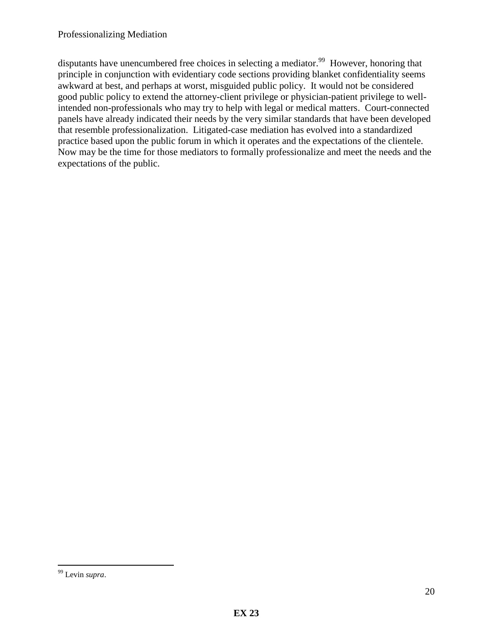disputants have unencumbered free choices in selecting a mediator.<sup>99</sup> However, honoring that principle in conjunction with evidentiary code sections providing blanket confidentiality seems awkward at best, and perhaps at worst, misguided public policy. It would not be considered good public policy to extend the attorney-client privilege or physician-patient privilege to wellintended non-professionals who may try to help with legal or medical matters. Court-connected panels have already indicated their needs by the very similar standards that have been developed that resemble professionalization. Litigated-case mediation has evolved into a standardized practice based upon the public forum in which it operates and the expectations of the clientele. Now may be the time for those mediators to formally professionalize and meet the needs and the expectations of the public.

 $\overline{a}$ <sup>99</sup> Levin *supra*.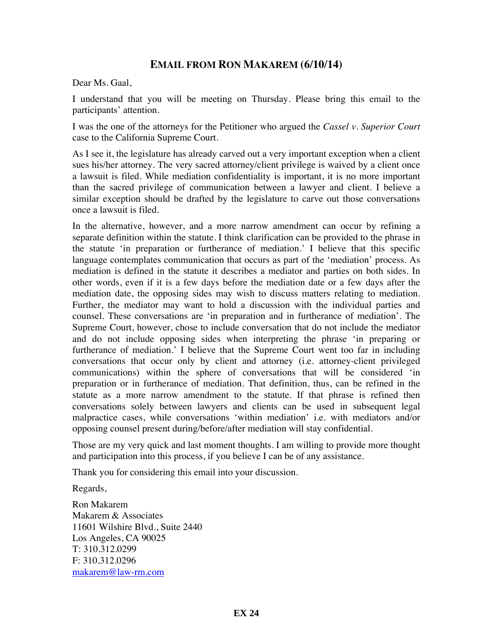## **EMAIL FROM RON MAKAREM (6/10/14)**

Dear Ms. Gaal,

I understand that you will be meeting on Thursday. Please bring this email to the participants' attention.

I was the one of the attorneys for the Petitioner who argued the *Cassel v. Superior Court* case to the California Supreme Court.

As I see it, the legislature has already carved out a very important exception when a client sues his/her attorney. The very sacred attorney/client privilege is waived by a client once a lawsuit is filed. While mediation confidentiality is important, it is no more important than the sacred privilege of communication between a lawyer and client. I believe a similar exception should be drafted by the legislature to carve out those conversations once a lawsuit is filed.

In the alternative, however, and a more narrow amendment can occur by refining a separate definition within the statute. I think clarification can be provided to the phrase in the statute 'in preparation or furtherance of mediation.' I believe that this specific language contemplates communication that occurs as part of the 'mediation' process. As mediation is defined in the statute it describes a mediator and parties on both sides. In other words, even if it is a few days before the mediation date or a few days after the mediation date, the opposing sides may wish to discuss matters relating to mediation. Further, the mediator may want to hold a discussion with the individual parties and counsel. These conversations are 'in preparation and in furtherance of mediation'. The Supreme Court, however, chose to include conversation that do not include the mediator and do not include opposing sides when interpreting the phrase 'in preparing or furtherance of mediation.' I believe that the Supreme Court went too far in including conversations that occur only by client and attorney (i.e. attorney-client privileged communications) within the sphere of conversations that will be considered 'in preparation or in furtherance of mediation. That definition, thus, can be refined in the statute as a more narrow amendment to the statute. If that phrase is refined then conversations solely between lawyers and clients can be used in subsequent legal malpractice cases, while conversations 'within mediation' i.e. with mediators and/or opposing counsel present during/before/after mediation will stay confidential.

Those are my very quick and last moment thoughts. I am willing to provide more thought and participation into this process, if you believe I can be of any assistance.

Thank you for considering this email into your discussion.

Regards,

Ron Makarem Makarem & Associates 11601 Wilshire Blvd., Suite 2440 Los Angeles, CA 90025 T: 310.312.0299 F: 310.312.0296 makarem@law-rm.com